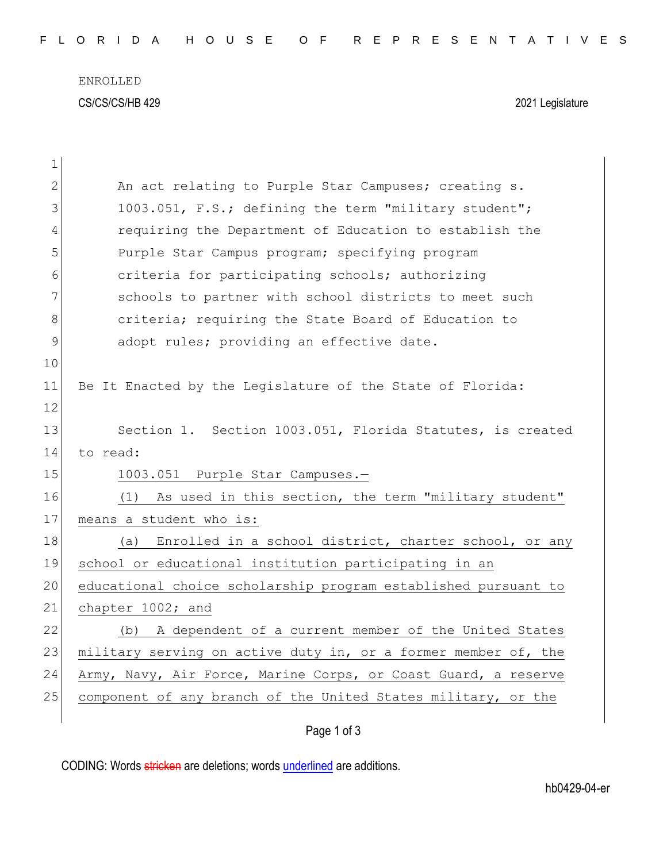## ENROLLED CS/CS/CS/HB 429 2021 Legislature

| $\mathbf 1$  |                                                                |  |  |  |  |  |  |  |  |  |  |  |  |  |
|--------------|----------------------------------------------------------------|--|--|--|--|--|--|--|--|--|--|--|--|--|
| $\mathbf{2}$ | An act relating to Purple Star Campuses; creating s.           |  |  |  |  |  |  |  |  |  |  |  |  |  |
| 3            | 1003.051, F.S.; defining the term "military student";          |  |  |  |  |  |  |  |  |  |  |  |  |  |
| 4            | requiring the Department of Education to establish the         |  |  |  |  |  |  |  |  |  |  |  |  |  |
| 5            | Purple Star Campus program; specifying program                 |  |  |  |  |  |  |  |  |  |  |  |  |  |
| 6            | criteria for participating schools; authorizing                |  |  |  |  |  |  |  |  |  |  |  |  |  |
| 7            | schools to partner with school districts to meet such          |  |  |  |  |  |  |  |  |  |  |  |  |  |
| 8            | criteria; requiring the State Board of Education to            |  |  |  |  |  |  |  |  |  |  |  |  |  |
| $\mathsf 9$  | adopt rules; providing an effective date.                      |  |  |  |  |  |  |  |  |  |  |  |  |  |
| 10           |                                                                |  |  |  |  |  |  |  |  |  |  |  |  |  |
| 11           | Be It Enacted by the Legislature of the State of Florida:      |  |  |  |  |  |  |  |  |  |  |  |  |  |
| 12           |                                                                |  |  |  |  |  |  |  |  |  |  |  |  |  |
| 13           | Section 1. Section 1003.051, Florida Statutes, is created      |  |  |  |  |  |  |  |  |  |  |  |  |  |
| 14           | to read:                                                       |  |  |  |  |  |  |  |  |  |  |  |  |  |
| 15           | 1003.051 Purple Star Campuses.-                                |  |  |  |  |  |  |  |  |  |  |  |  |  |
| 16           | (1) As used in this section, the term "military student"       |  |  |  |  |  |  |  |  |  |  |  |  |  |
| 17           | means a student who is:                                        |  |  |  |  |  |  |  |  |  |  |  |  |  |
| 18           | Enrolled in a school district, charter school, or any<br>(a)   |  |  |  |  |  |  |  |  |  |  |  |  |  |
| 19           | school or educational institution participating in an          |  |  |  |  |  |  |  |  |  |  |  |  |  |
| 20           | educational choice scholarship program established pursuant to |  |  |  |  |  |  |  |  |  |  |  |  |  |
| 21           | chapter 1002; and                                              |  |  |  |  |  |  |  |  |  |  |  |  |  |
| 22           | A dependent of a current member of the United States<br>(b)    |  |  |  |  |  |  |  |  |  |  |  |  |  |
| 23           | military serving on active duty in, or a former member of, the |  |  |  |  |  |  |  |  |  |  |  |  |  |
| 24           | Army, Navy, Air Force, Marine Corps, or Coast Guard, a reserve |  |  |  |  |  |  |  |  |  |  |  |  |  |
| 25           | component of any branch of the United States military, or the  |  |  |  |  |  |  |  |  |  |  |  |  |  |
|              |                                                                |  |  |  |  |  |  |  |  |  |  |  |  |  |

## Page 1 of 3

CODING: Words stricken are deletions; words underlined are additions.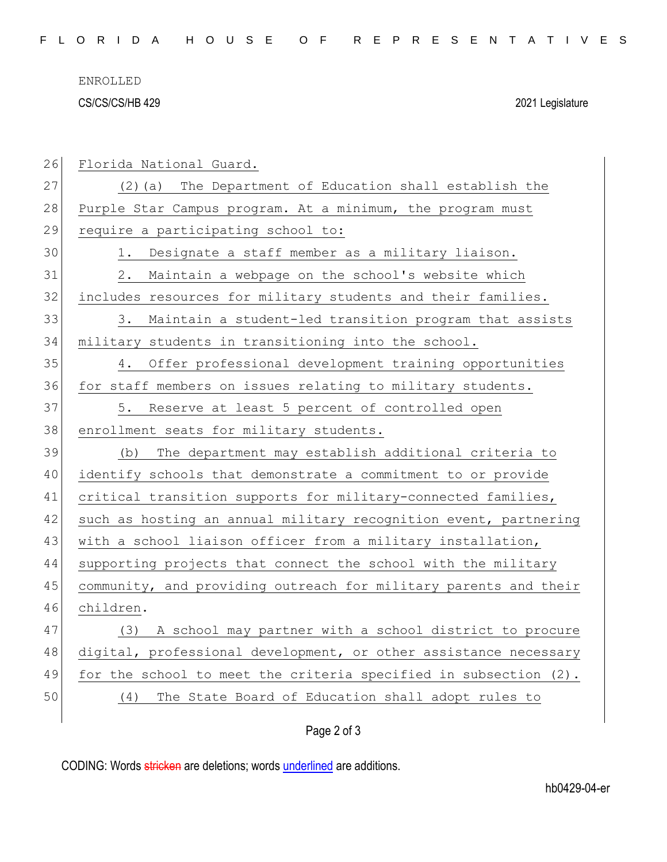ENROLLED CS/CS/CS/HB 429 2021 Legislature

26 Florida National Guard. 27 (2)(a) The Department of Education shall establish the 28 Purple Star Campus program. At a minimum, the program must 29 require a participating school to: 30 1. Designate a staff member as a military liaison. 31 2. Maintain a webpage on the school's website which 32 includes resources for military students and their families. 33 3. Maintain a student-led transition program that assists 34 military students in transitioning into the school. 35 4. Offer professional development training opportunities 36 for staff members on issues relating to military students. 37 5. Reserve at least 5 percent of controlled open 38 enrollment seats for military students. 39 (b) The department may establish additional criteria to 40 identify schools that demonstrate a commitment to or provide 41 critical transition supports for military-connected families, 42 such as hosting an annual military recognition event, partnering 43 with a school liaison officer from a military installation, 44 supporting projects that connect the school with the military 45 community, and providing outreach for military parents and their 46 children. 47 (3) A school may partner with a school district to procure 48 digital, professional development, or other assistance necessary 49 for the school to meet the criteria specified in subsection (2). 50 (4) The State Board of Education shall adopt rules to

Page 2 of 3

CODING: Words stricken are deletions; words underlined are additions.